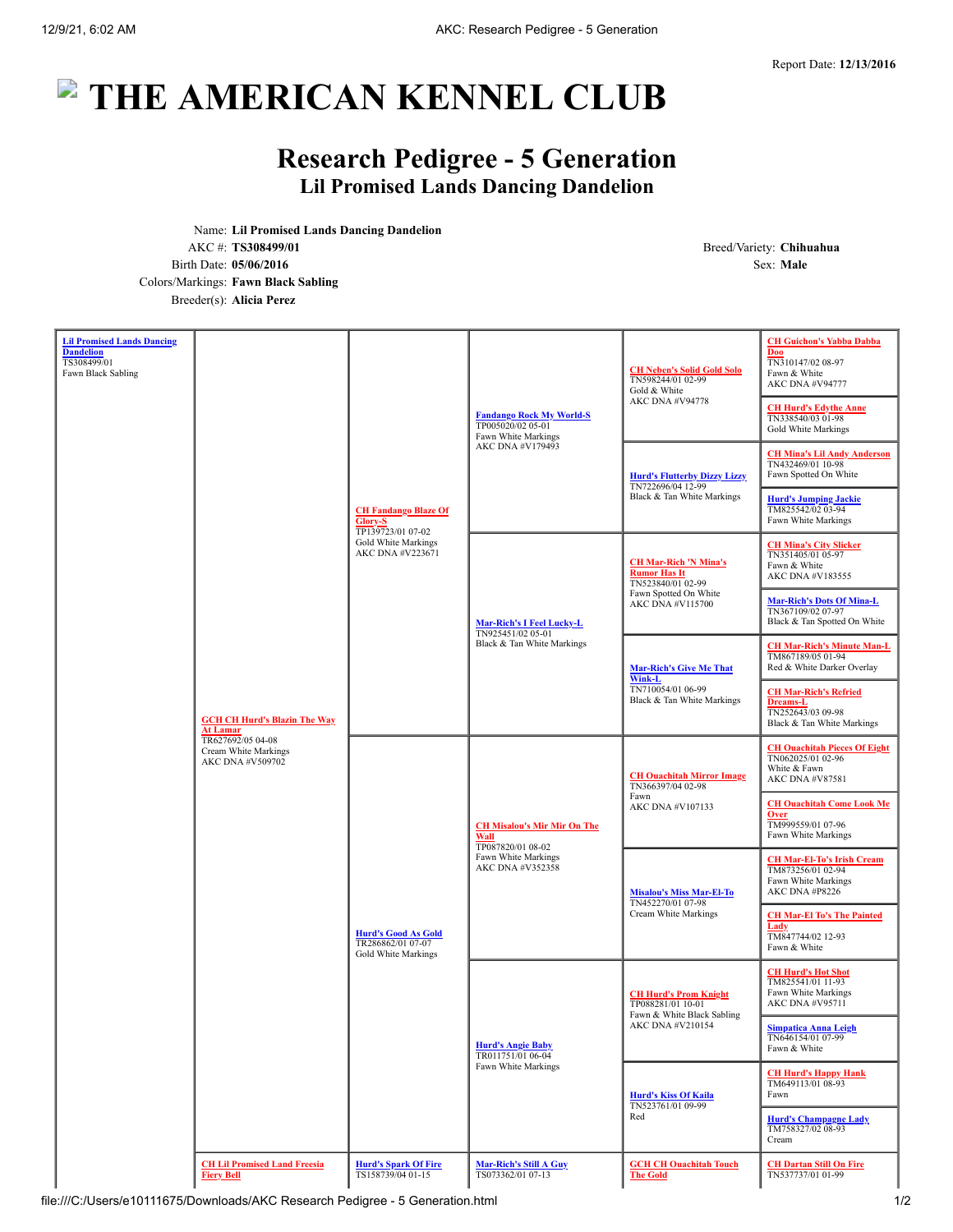## **THE AMERICAN KENNEL CLUB**

## **Research Pedigree - 5 Generation Lil Promised Lands Dancing Dandelion**

Name: **Lil Promised Lands Dancing Dandelion** AKC #: **TS308499/01** Breed/Variety: **Chihuahua** Birth Date: **05/06/2016** Sex: **Male** Colors/Markings: **Fawn Black Sabling** Breeder(s): **Alicia Perez**

| <b>Lil Promised Lands Dancing</b><br><b>Dandelion</b><br>TS308499/01<br>Fawn Black Sabling | <b>GCH CH Hurd's Blazin The Way</b><br><b>At Lamar</b><br>TR627692/05 04-08<br>Cream White Markings<br>AKC DNA #V509702 | <b>CH Fandango Blaze Of</b><br>Glory-S<br>TP139723/01 07-02<br>Gold White Markings<br>AKC DNA #V223671 | <b>Fandango Rock My World-S</b><br>TP005020/02 05-01<br>Fawn White Markings<br>AKC DNA #V179493            | <b>CH Neben's Solid Gold Solo</b><br>TN598244/01 02-99<br>Gold & White<br>AKC DNA #V94778                             | <b>CH Guichon's Yabba Dabba</b><br><b>Doo</b><br>TN310147/02 08-97<br>Fawn & White<br>AKC DNA #V94777<br><b>CH Hurd's Edythe Anne</b><br>TN338540/03 01-98 |
|--------------------------------------------------------------------------------------------|-------------------------------------------------------------------------------------------------------------------------|--------------------------------------------------------------------------------------------------------|------------------------------------------------------------------------------------------------------------|-----------------------------------------------------------------------------------------------------------------------|------------------------------------------------------------------------------------------------------------------------------------------------------------|
|                                                                                            |                                                                                                                         |                                                                                                        |                                                                                                            | <b>Hurd's Flutterby Dizzy Lizzy</b><br>TN722696/04 12-99<br>Black & Tan White Markings                                | Gold White Markings<br><b>CH Mina's Lil Andy Anderson</b><br>TN432469/01 10-98<br>Fawn Spotted On White                                                    |
|                                                                                            |                                                                                                                         |                                                                                                        |                                                                                                            |                                                                                                                       | <b>Hurd's Jumping Jackie</b><br>TM825542/02 03-94<br>Fawn White Markings                                                                                   |
|                                                                                            |                                                                                                                         |                                                                                                        | <b>Mar-Rich's I Feel Lucky-L</b><br>TN925451/02 05-01<br>Black & Tan White Markings                        | <b>CH Mar-Rich 'N Mina's</b><br><b>Rumor Has It</b><br>TN523840/01 02-99<br>Fawn Spotted On White<br>AKC DNA #V115700 | <b>CH Mina's City Slicker</b><br>TN351405/01 05-97<br>Fawn & White<br>AKC DNA #V183555                                                                     |
|                                                                                            |                                                                                                                         |                                                                                                        |                                                                                                            |                                                                                                                       | <b>Mar-Rich's Dots Of Mina-L</b><br>TN367109/02 07-97<br>Black & Tan Spotted On White                                                                      |
|                                                                                            |                                                                                                                         |                                                                                                        |                                                                                                            | <b>Mar-Rich's Give Me That</b><br>Wink-L<br>TN710054/01 06-99<br>Black & Tan White Markings                           | <b>CH Mar-Rich's Minute Man-L</b><br>TM867189/05 01-94<br>Red & White Darker Overlay                                                                       |
|                                                                                            |                                                                                                                         |                                                                                                        |                                                                                                            |                                                                                                                       | <b>CH Mar-Rich's Refried</b><br>Dreams-L<br>TN252643/03 09-98<br>Black & Tan White Markings                                                                |
|                                                                                            |                                                                                                                         | <b>Hurd's Good As Gold</b><br>TR286862/01 07-07<br>Gold White Markings                                 | <b>CH Misalou's Mir Mir On The</b><br>Wall<br>TP087820/01 08-02<br>Fawn White Markings<br>AKC DNA #V352358 | <b>CH Ouachitah Mirror Image</b><br>TN366397/04 02-98<br>Fawn<br>AKC DNA #V107133                                     | <b>CH Ouachitah Pieces Of Eight</b><br>TN062025/01 02-96<br>White & Fawn<br>AKC DNA #V87581                                                                |
|                                                                                            |                                                                                                                         |                                                                                                        |                                                                                                            |                                                                                                                       | <b>CH Ouachitah Come Look Me</b><br><b>Over</b><br>TM999559/01 07-96<br>Fawn White Markings                                                                |
|                                                                                            |                                                                                                                         |                                                                                                        |                                                                                                            | <b>Misalou's Miss Mar-El-To</b><br>TN452270/01 07-98<br>Cream White Markings                                          | <b>CH Mar-El-To's Irish Cream</b><br>TM873256/01 02-94<br>Fawn White Markings<br>AKC DNA #P8226                                                            |
|                                                                                            |                                                                                                                         |                                                                                                        |                                                                                                            |                                                                                                                       | <b>CH Mar-El To's The Painted</b><br>Lady<br>TM847744/02 12-93<br>Fawn & White                                                                             |
|                                                                                            |                                                                                                                         |                                                                                                        | <b>Hurd's Angie Baby</b><br>TR011751/01 06-04<br>Fawn White Markings                                       | <b>CH Hurd's Prom Knight</b><br>TP088281/01 10-01<br>Fawn & White Black Sabling<br>AKC DNA #V210154                   | <b>CH Hurd's Hot Shot</b><br>TM825541/01 11-93<br>Fawn White Markings<br>AKC DNA #V95711                                                                   |
|                                                                                            |                                                                                                                         |                                                                                                        |                                                                                                            |                                                                                                                       | <b>Simpatica Anna Leigh</b><br>TN646154/01 07-99<br>Fawn & White                                                                                           |
|                                                                                            |                                                                                                                         |                                                                                                        |                                                                                                            | <b>Hurd's Kiss Of Kaila</b><br>TN523761/01 09-99<br>Red                                                               | <b>CH Hurd's Happy Hank</b><br>TM649113/01 08-93<br>Fawn                                                                                                   |
|                                                                                            |                                                                                                                         |                                                                                                        |                                                                                                            |                                                                                                                       | <b>Hurd's Champagne Lady</b><br>TM758327/02 08-93<br>Cream                                                                                                 |
|                                                                                            | <b>CH Lil Promised Land Freesia</b><br><b>Fiery Bell</b>                                                                | <b>Hurd's Spark Of Fire</b><br>TS158739/04 01-15                                                       | <b>Mar-Rich's Still A Guy</b><br>TS073362/01 07-13                                                         | <b>GCH CH Ouachitah Touch</b><br><b>The Gold</b>                                                                      | <b>CH Dartan Still On Fire</b><br>TN537737/01 01-99                                                                                                        |